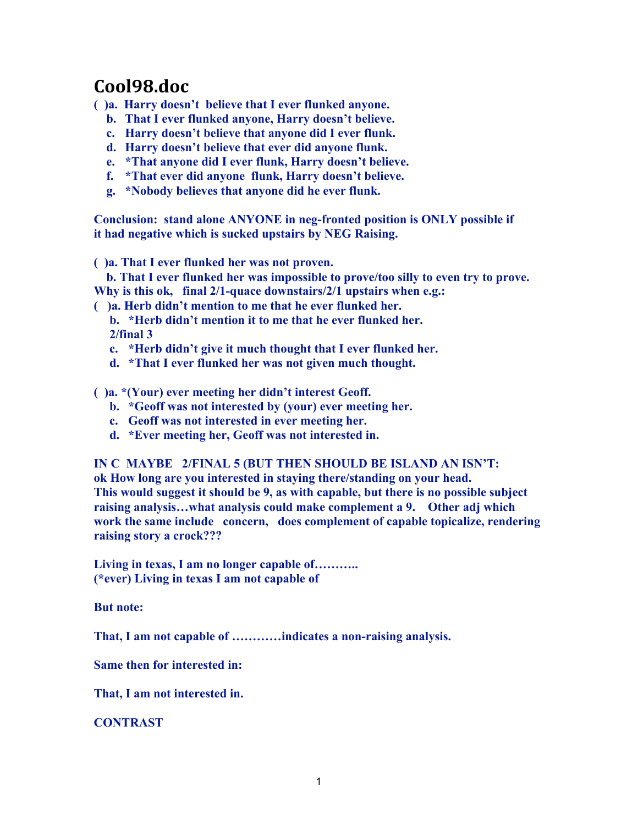## **Cool98.doc**

**( )a. Harry doesn't believe that I ever flunked anyone.**

- **b. That I ever flunked anyone, Harry doesn't believe.**
- **c. Harry doesn't believe that anyone did I ever flunk.**
- **d. Harry doesn't believe that ever did anyone flunk.**
- **e. \*That anyone did I ever flunk, Harry doesn't believe.**
- **f. \*That ever did anyone flunk, Harry doesn't believe.**
- **g. \*Nobody believes that anyone did he ever flunk.**

**Conclusion: stand alone ANYONE in neg-fronted position is ONLY possible if it had negative which is sucked upstairs by NEG Raising.**

**( )a. That I ever flunked her was not proven.**

 **b. That I ever flunked her was impossible to prove/too silly to even try to prove. Why is this ok, final 2/1-quace downstairs/2/1 upstairs when e.g.:**

**( )a. Herb didn't mention to me that he ever flunked her.**

- **b. \*Herb didn't mention it to me that he ever flunked her. 2/final 3**
- **c. \*Herb didn't give it much thought that I ever flunked her.**
- **d. \*That I ever flunked her was not given much thought.**
- **( )a. \*(Your) ever meeting her didn't interest Geoff.**
	- **b. \*Geoff was not interested by (your) ever meeting her.**
	- **c. Geoff was not interested in ever meeting her.**
	- **d. \*Ever meeting her, Geoff was not interested in.**

**IN C MAYBE 2/FINAL 5 (BUT THEN SHOULD BE ISLAND AN ISN'T:**

**ok How long are you interested in staying there/standing on your head. This would suggest it should be 9, as with capable, but there is no possible subject raising analysis…what analysis could make complement a 9. Other adj which work the same include concern, does complement of capable topicalize, rendering raising story a crock???**

**Living in texas, I am no longer capable of……….. (\*ever) Living in texas I am not capable of**

**But note:**

**That, I am not capable of …………indicates a non-raising analysis.**

**Same then for interested in:**

**That, I am not interested in.**

**CONTRAST**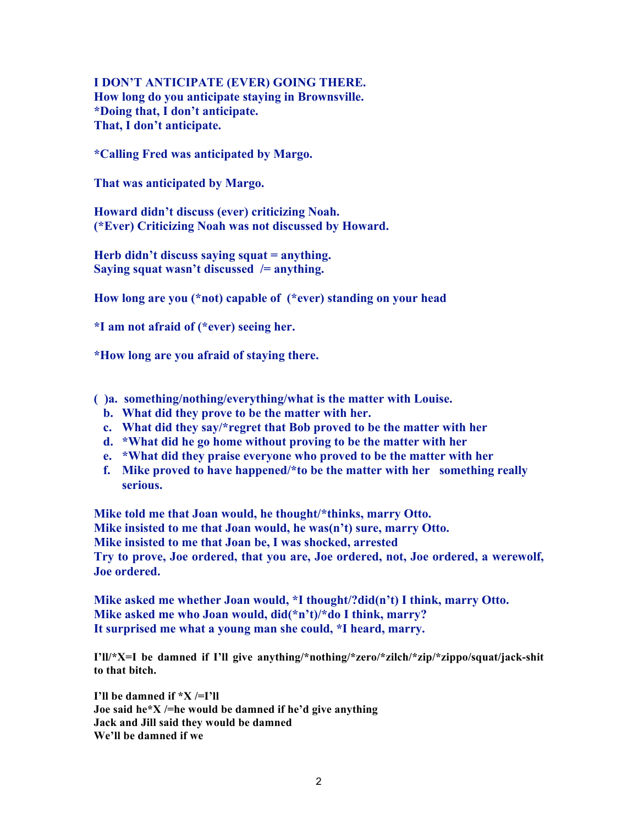**I DON'T ANTICIPATE (EVER) GOING THERE. How long do you anticipate staying in Brownsville. \*Doing that, I don't anticipate. That, I don't anticipate.**

**\*Calling Fred was anticipated by Margo.**

**That was anticipated by Margo.**

**Howard didn't discuss (ever) criticizing Noah. (\*Ever) Criticizing Noah was not discussed by Howard.**

**Herb didn't discuss saying squat = anything. Saying squat wasn't discussed /= anything.**

**How long are you (\*not) capable of (\*ever) standing on your head**

**\*I am not afraid of (\*ever) seeing her.**

**\*How long are you afraid of staying there.**

**( )a. something/nothing/everything/what is the matter with Louise.**

- **b. What did they prove to be the matter with her.**
- **c. What did they say/\*regret that Bob proved to be the matter with her**
- **d. \*What did he go home without proving to be the matter with her**
- **e. \*What did they praise everyone who proved to be the matter with her**
- **f. Mike proved to have happened/\*to be the matter with her something really serious.**

**Mike told me that Joan would, he thought/\*thinks, marry Otto. Mike insisted to me that Joan would, he was(n't) sure, marry Otto. Mike insisted to me that Joan be, I was shocked, arrested Try to prove, Joe ordered, that you are, Joe ordered, not, Joe ordered, a werewolf, Joe ordered.**

**Mike asked me whether Joan would, \*I thought/?did(n't) I think, marry Otto. Mike asked me who Joan would, did(\*n't)/\*do I think, marry? It surprised me what a young man she could, \*I heard, marry.**

**I'll/\*X=I be damned if I'll give anything/\*nothing/\*zero/\*zilch/\*zip/\*zippo/squat/jack-shit to that bitch.**

**I'll be damned if \*X /=I'll Joe said he\*X /=he would be damned if he'd give anything Jack and Jill said they would be damned We'll be damned if we**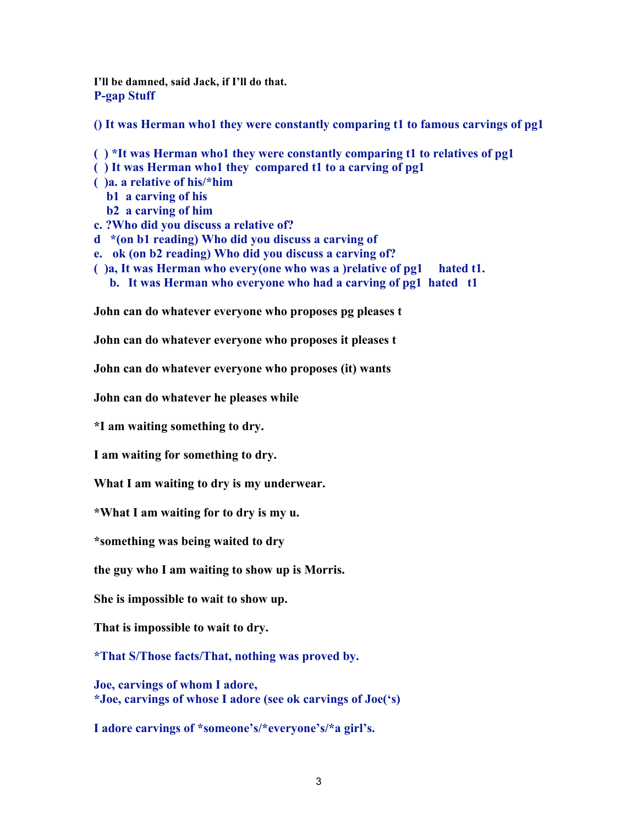**I'll be damned, said Jack, if I'll do that. P-gap Stuff**

**() It was Herman who1 they were constantly comparing t1 to famous carvings of pg1**

**( ) \*It was Herman who1 they were constantly comparing t1 to relatives of pg1 ( ) It was Herman who1 they compared t1 to a carving of pg1 ( )a. a relative of his/\*him b1 a carving of his b2 a carving of him c. ?Who did you discuss a relative of? d \*(on b1 reading) Who did you discuss a carving of e. ok (on b2 reading) Who did you discuss a carving of? ( )a, It was Herman who every(one who was a )relative of pg1 hated t1. b. It was Herman who everyone who had a carving of pg1 hated t1**

**John can do whatever everyone who proposes pg pleases t**

**John can do whatever everyone who proposes it pleases t**

**John can do whatever everyone who proposes (it) wants**

**John can do whatever he pleases while**

**\*I am waiting something to dry.**

**I am waiting for something to dry.**

**What I am waiting to dry is my underwear.**

**\*What I am waiting for to dry is my u.**

**\*something was being waited to dry**

**the guy who I am waiting to show up is Morris.**

**She is impossible to wait to show up.**

**That is impossible to wait to dry.**

**\*That S/Those facts/That, nothing was proved by.**

**Joe, carvings of whom I adore, \*Joe, carvings of whose I adore (see ok carvings of Joe('s)**

**I adore carvings of \*someone's/\*everyone's/\*a girl's.**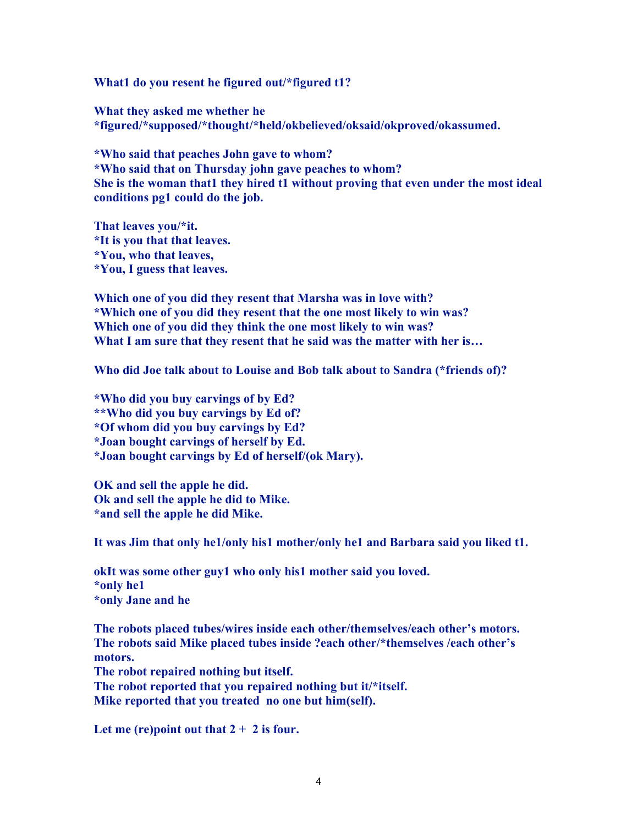**What1 do you resent he figured out/\*figured t1?**

**What they asked me whether he \*figured/\*supposed/\*thought/\*held/okbelieved/oksaid/okproved/okassumed.**

**\*Who said that peaches John gave to whom? \*Who said that on Thursday john gave peaches to whom? She is the woman that1 they hired t1 without proving that even under the most ideal conditions pg1 could do the job.**

**That leaves you/\*it. \*It is you that that leaves. \*You, who that leaves, \*You, I guess that leaves.**

**Which one of you did they resent that Marsha was in love with? \*Which one of you did they resent that the one most likely to win was? Which one of you did they think the one most likely to win was? What I am sure that they resent that he said was the matter with her is…**

**Who did Joe talk about to Louise and Bob talk about to Sandra (\*friends of)?**

**\*Who did you buy carvings of by Ed? \*\*Who did you buy carvings by Ed of? \*Of whom did you buy carvings by Ed? \*Joan bought carvings of herself by Ed. \*Joan bought carvings by Ed of herself/(ok Mary).**

**OK and sell the apple he did. Ok and sell the apple he did to Mike. \*and sell the apple he did Mike.**

**It was Jim that only he1/only his1 mother/only he1 and Barbara said you liked t1.**

**okIt was some other guy1 who only his1 mother said you loved. \*only he1 \*only Jane and he**

**The robots placed tubes/wires inside each other/themselves/each other's motors. The robots said Mike placed tubes inside ?each other/\*themselves /each other's motors. The robot repaired nothing but itself. The robot reported that you repaired nothing but it/\*itself. Mike reported that you treated no one but him(self).**

**Let me (re)point out that 2 + 2 is four.**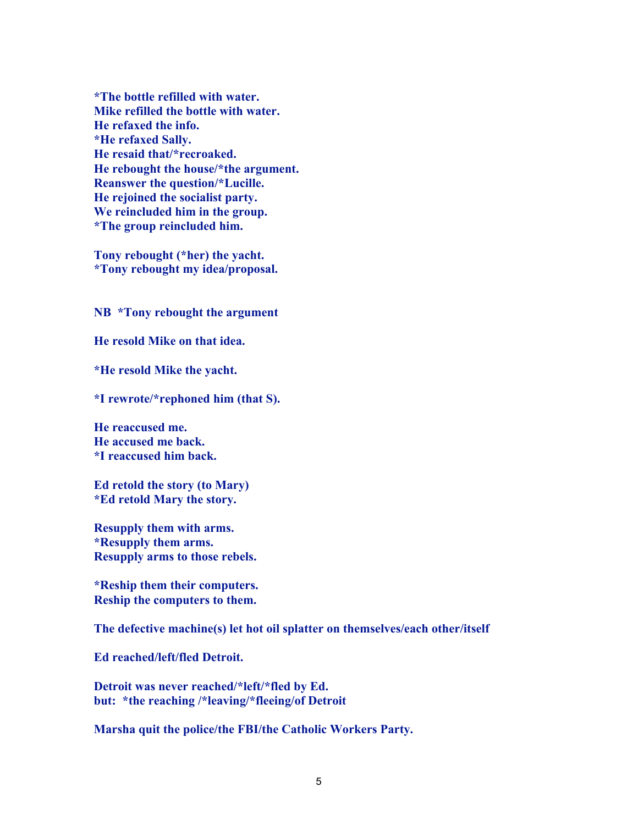**\*The bottle refilled with water. Mike refilled the bottle with water. He refaxed the info. \*He refaxed Sally. He resaid that/\*recroaked. He rebought the house/\*the argument. Reanswer the question/\*Lucille. He rejoined the socialist party. We reincluded him in the group. \*The group reincluded him.**

**Tony rebought (\*her) the yacht. \*Tony rebought my idea/proposal.**

**NB \*Tony rebought the argument**

**He resold Mike on that idea.**

**\*He resold Mike the yacht.**

**\*I rewrote/\*rephoned him (that S).**

**He reaccused me. He accused me back. \*I reaccused him back.**

**Ed retold the story (to Mary) \*Ed retold Mary the story.**

**Resupply them with arms. \*Resupply them arms. Resupply arms to those rebels.**

**\*Reship them their computers. Reship the computers to them.**

**The defective machine(s) let hot oil splatter on themselves/each other/itself**

**Ed reached/left/fled Detroit.**

**Detroit was never reached/\*left/\*fled by Ed. but: \*the reaching /\*leaving/\*fleeing/of Detroit**

**Marsha quit the police/the FBI/the Catholic Workers Party.**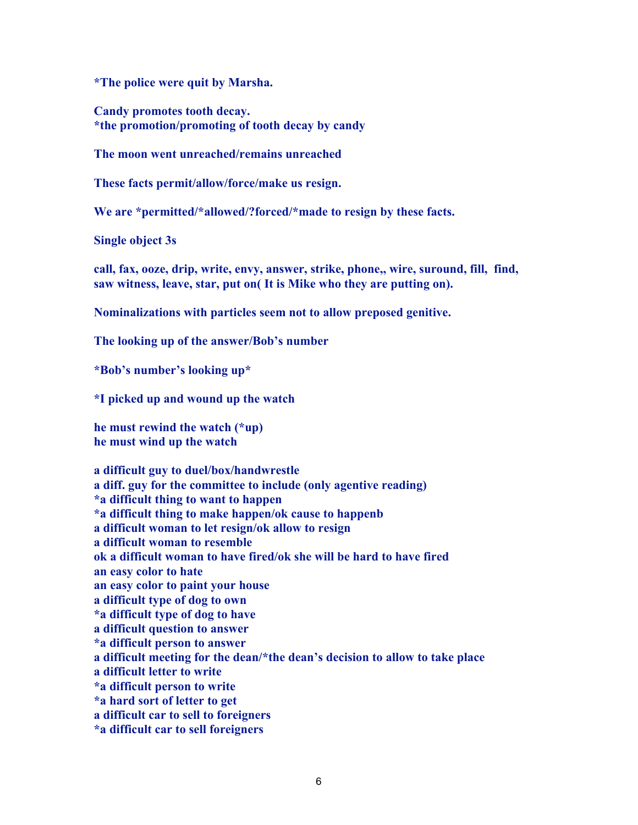**\*The police were quit by Marsha.**

**Candy promotes tooth decay. \*the promotion/promoting of tooth decay by candy**

**The moon went unreached/remains unreached**

**These facts permit/allow/force/make us resign.**

**We are \*permitted/\*allowed/?forced/\*made to resign by these facts.**

**Single object 3s**

**call, fax, ooze, drip, write, envy, answer, strike, phone,, wire, suround, fill, find, saw witness, leave, star, put on( It is Mike who they are putting on).**

**Nominalizations with particles seem not to allow preposed genitive.**

**The looking up of the answer/Bob's number**

**\*Bob's number's looking up\***

**\*I picked up and wound up the watch**

**he must rewind the watch (\*up) he must wind up the watch**

**a difficult guy to duel/box/handwrestle a diff. guy for the committee to include (only agentive reading) \*a difficult thing to want to happen \*a difficult thing to make happen/ok cause to happenb a difficult woman to let resign/ok allow to resign a difficult woman to resemble ok a difficult woman to have fired/ok she will be hard to have fired an easy color to hate an easy color to paint your house a difficult type of dog to own \*a difficult type of dog to have a difficult question to answer \*a difficult person to answer a difficult meeting for the dean/\*the dean's decision to allow to take place a difficult letter to write \*a difficult person to write \*a hard sort of letter to get a difficult car to sell to foreigners \*a difficult car to sell foreigners**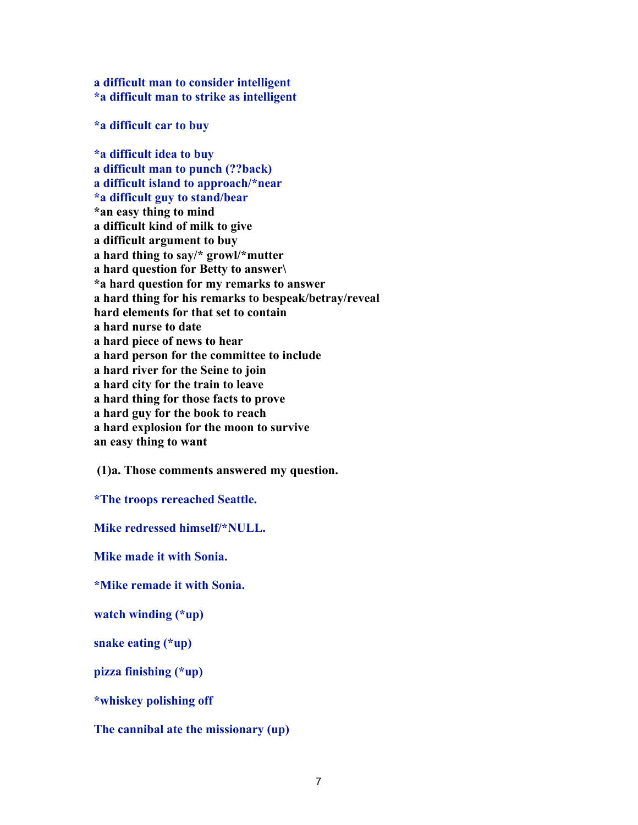**a difficult man to consider intelligent \*a difficult man to strike as intelligent**

**\*a difficult car to buy**

**\*a difficult idea to buy a difficult man to punch (??back) a difficult island to approach/\*near \*a difficult guy to stand/bear \*an easy thing to mind a difficult kind of milk to give a difficult argument to buy a hard thing to say/\* growl/\*mutter a hard question for Betty to answer\ \*a hard question for my remarks to answer a hard thing for his remarks to bespeak/betray/reveal hard elements for that set to contain a hard nurse to date a hard piece of news to hear a hard person for the committee to include a hard river for the Seine to join a hard city for the train to leave a hard thing for those facts to prove a hard guy for the book to reach a hard explosion for the moon to survive an easy thing to want**

 **(1)a. Those comments answered my question.** 

**\*The troops rereached Seattle.**

**Mike redressed himself/\*NULL.**

**Mike made it with Sonia.**

**\*Mike remade it with Sonia.**

**watch winding (\*up)**

**snake eating (\*up)**

**pizza finishing (\*up)**

**\*whiskey polishing off**

**The cannibal ate the missionary (up)**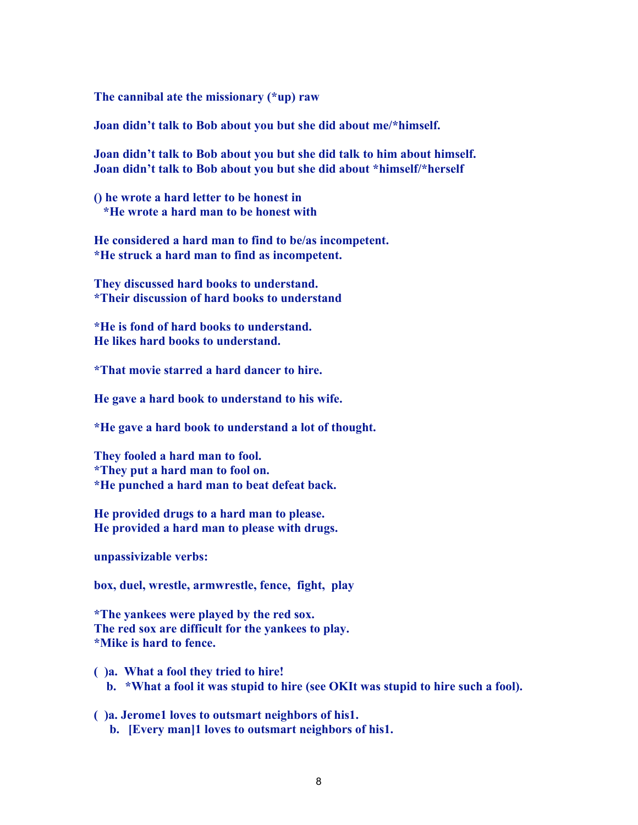**The cannibal ate the missionary (\*up) raw**

**Joan didn't talk to Bob about you but she did about me/\*himself.**

**Joan didn't talk to Bob about you but she did talk to him about himself. Joan didn't talk to Bob about you but she did about \*himself/\*herself**

**() he wrote a hard letter to be honest in \*He wrote a hard man to be honest with**

**He considered a hard man to find to be/as incompetent. \*He struck a hard man to find as incompetent.**

**They discussed hard books to understand. \*Their discussion of hard books to understand**

**\*He is fond of hard books to understand. He likes hard books to understand.**

**\*That movie starred a hard dancer to hire.**

**He gave a hard book to understand to his wife.**

**\*He gave a hard book to understand a lot of thought.**

**They fooled a hard man to fool. \*They put a hard man to fool on. \*He punched a hard man to beat defeat back.**

**He provided drugs to a hard man to please. He provided a hard man to please with drugs.**

**unpassivizable verbs:**

**box, duel, wrestle, armwrestle, fence, fight, play**

**\*The yankees were played by the red sox. The red sox are difficult for the yankees to play. \*Mike is hard to fence.**

- **( )a. What a fool they tried to hire! b. \*What a fool it was stupid to hire (see OKIt was stupid to hire such a fool).**
- **( )a. Jerome1 loves to outsmart neighbors of his1. b. [Every man]1 loves to outsmart neighbors of his1.**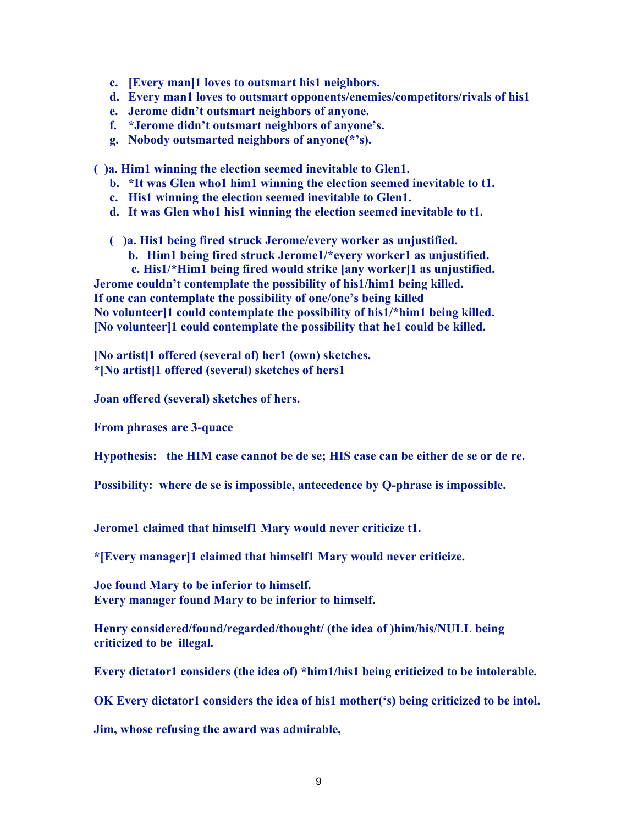- **c. [Every man]1 loves to outsmart his1 neighbors.**
- **d. Every man1 loves to outsmart opponents/enemies/competitors/rivals of his1**
- **e. Jerome didn't outsmart neighbors of anyone.**
- **f. \*Jerome didn't outsmart neighbors of anyone's.**
- **g. Nobody outsmarted neighbors of anyone(\*'s).**

**( )a. Him1 winning the election seemed inevitable to Glen1.**

- **b. \*It was Glen who1 him1 winning the election seemed inevitable to t1.**
- **c. His1 winning the election seemed inevitable to Glen1.**
- **d. It was Glen who1 his1 winning the election seemed inevitable to t1.**

**( )a. His1 being fired struck Jerome/every worker as unjustified.**

**b. Him1 being fired struck Jerome1/\*every worker1 as unjustified.**

 **c. His1/\*Him1 being fired would strike [any worker]1 as unjustified. Jerome couldn't contemplate the possibility of his1/him1 being killed. If one can contemplate the possibility of one/one's being killed No volunteer]1 could contemplate the possibility of his1/\*him1 being killed. [No volunteer]1 could contemplate the possibility that he1 could be killed.**

**[No artist]1 offered (several of) her1 (own) sketches. \*[No artist]1 offered (several) sketches of hers1**

**Joan offered (several) sketches of hers.**

**From phrases are 3-quace**

**Hypothesis: the HIM case cannot be de se; HIS case can be either de se or de re.**

**Possibility: where de se is impossible, antecedence by Q-phrase is impossible.**

**Jerome1 claimed that himself1 Mary would never criticize t1.**

**\*[Every manager]1 claimed that himself1 Mary would never criticize.**

**Joe found Mary to be inferior to himself. Every manager found Mary to be inferior to himself.**

**Henry considered/found/regarded/thought/ (the idea of )him/his/NULL being criticized to be illegal.**

**Every dictator1 considers (the idea of) \*him1/his1 being criticized to be intolerable.**

**OK Every dictator1 considers the idea of his1 mother('s) being criticized to be intol.**

**Jim, whose refusing the award was admirable,**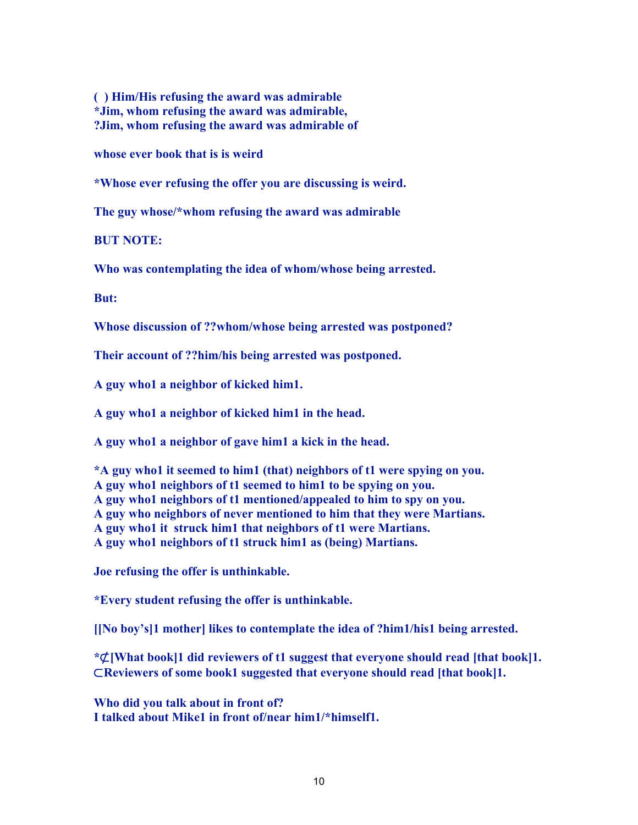**( ) Him/His refusing the award was admirable \*Jim, whom refusing the award was admirable, ?Jim, whom refusing the award was admirable of**

**whose ever book that is is weird**

**\*Whose ever refusing the offer you are discussing is weird.**

**The guy whose/\*whom refusing the award was admirable**

**BUT NOTE:**

**Who was contemplating the idea of whom/whose being arrested.**

**But:**

**Whose discussion of ??whom/whose being arrested was postponed?**

**Their account of ??him/his being arrested was postponed.**

**A guy who1 a neighbor of kicked him1.**

**A guy who1 a neighbor of kicked him1 in the head.**

**A guy who1 a neighbor of gave him1 a kick in the head.**

**\*A guy who1 it seemed to him1 (that) neighbors of t1 were spying on you. A guy who1 neighbors of t1 seemed to him1 to be spying on you. A guy who1 neighbors of t1 mentioned/appealed to him to spy on you. A guy who neighbors of never mentioned to him that they were Martians. A guy who1 it struck him1 that neighbors of t1 were Martians. A guy who1 neighbors of t1 struck him1 as (being) Martians.**

**Joe refusing the offer is unthinkable.**

**\*Every student refusing the offer is unthinkable.**

**[[No boy's]1 mother] likes to contemplate the idea of ?him1/his1 being arrested.**

**\***⊄**[What book]1 did reviewers of t1 suggest that everyone should read [that book]1.** ⊂**Reviewers of some book1 suggested that everyone should read [that book]1.**

**Who did you talk about in front of? I talked about Mike1 in front of/near him1/\*himself1.**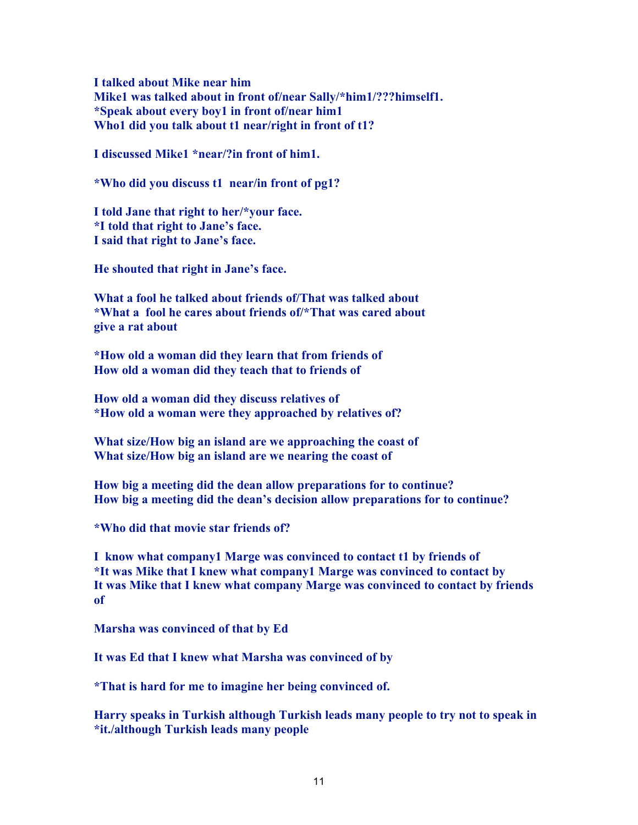**I talked about Mike near him Mike1 was talked about in front of/near Sally/\*him1/???himself1. \*Speak about every boy1 in front of/near him1 Who1 did you talk about t1 near/right in front of t1?**

**I discussed Mike1 \*near/?in front of him1.**

**\*Who did you discuss t1 near/in front of pg1?**

**I told Jane that right to her/\*your face. \*I told that right to Jane's face. I said that right to Jane's face.**

**He shouted that right in Jane's face.** 

**What a fool he talked about friends of/That was talked about \*What a fool he cares about friends of/\*That was cared about give a rat about**

**\*How old a woman did they learn that from friends of How old a woman did they teach that to friends of**

**How old a woman did they discuss relatives of \*How old a woman were they approached by relatives of?**

**What size/How big an island are we approaching the coast of What size/How big an island are we nearing the coast of**

**How big a meeting did the dean allow preparations for to continue? How big a meeting did the dean's decision allow preparations for to continue?**

**\*Who did that movie star friends of?**

**I know what company1 Marge was convinced to contact t1 by friends of \*It was Mike that I knew what company1 Marge was convinced to contact by It was Mike that I knew what company Marge was convinced to contact by friends of**

**Marsha was convinced of that by Ed**

**It was Ed that I knew what Marsha was convinced of by**

**\*That is hard for me to imagine her being convinced of.**

**Harry speaks in Turkish although Turkish leads many people to try not to speak in \*it./although Turkish leads many people**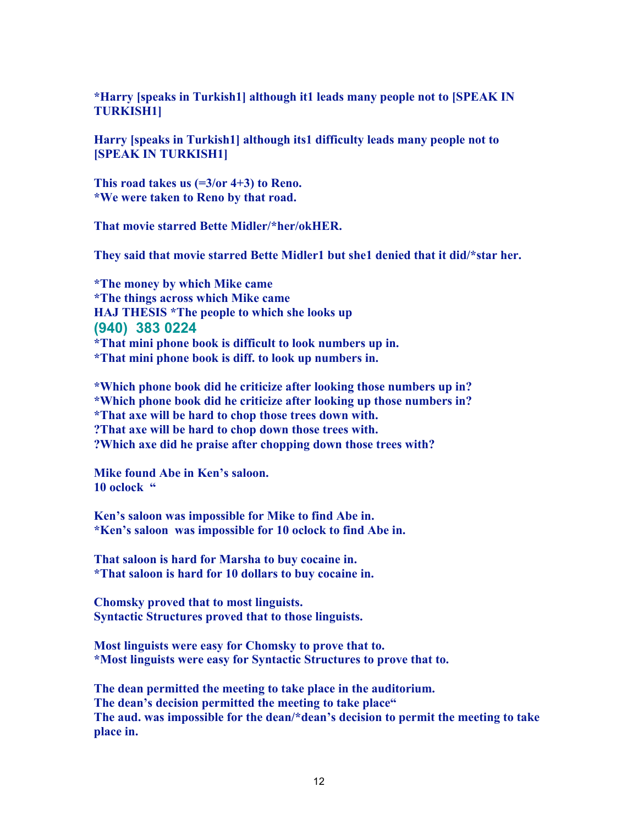**\*Harry [speaks in Turkish1] although it1 leads many people not to [SPEAK IN TURKISH1]**

**Harry [speaks in Turkish1] although its1 difficulty leads many people not to [SPEAK IN TURKISH1]**

**This road takes us (=3/or 4+3) to Reno. \*We were taken to Reno by that road.**

**That movie starred Bette Midler/\*her/okHER.**

**They said that movie starred Bette Midler1 but she1 denied that it did/\*star her.**

**\*The money by which Mike came \*The things across which Mike came HAJ THESIS \*The people to which she looks up (940) 383 0224 \*That mini phone book is difficult to look numbers up in. \*That mini phone book is diff. to look up numbers in.**

**\*Which phone book did he criticize after looking those numbers up in? \*Which phone book did he criticize after looking up those numbers in? \*That axe will be hard to chop those trees down with. ?That axe will be hard to chop down those trees with. ?Which axe did he praise after chopping down those trees with?**

**Mike found Abe in Ken's saloon. 10 oclock "**

**Ken's saloon was impossible for Mike to find Abe in. \*Ken's saloon was impossible for 10 oclock to find Abe in.**

**That saloon is hard for Marsha to buy cocaine in. \*That saloon is hard for 10 dollars to buy cocaine in.**

**Chomsky proved that to most linguists. Syntactic Structures proved that to those linguists.**

**Most linguists were easy for Chomsky to prove that to. \*Most linguists were easy for Syntactic Structures to prove that to.**

**The dean permitted the meeting to take place in the auditorium. The dean's decision permitted the meeting to take place" The aud. was impossible for the dean/\*dean's decision to permit the meeting to take place in.**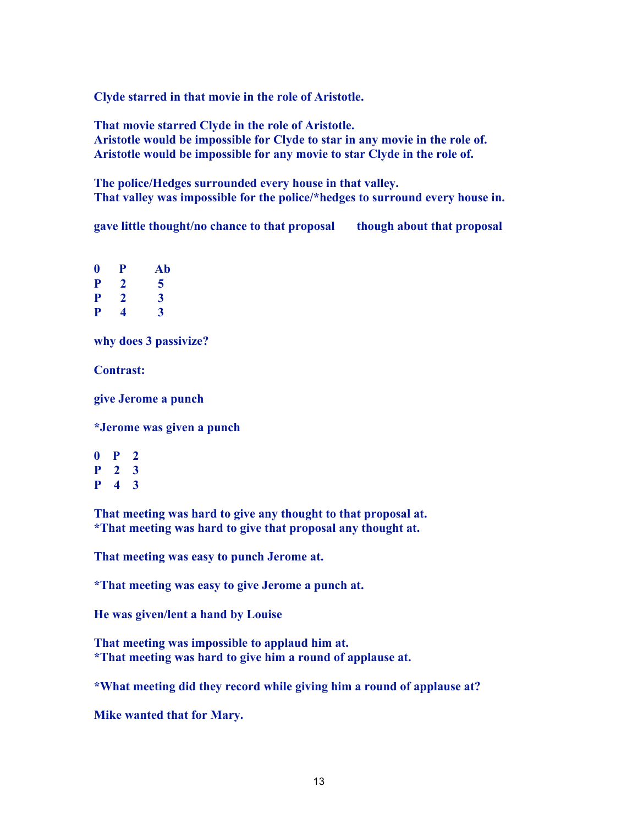**Clyde starred in that movie in the role of Aristotle.**

**That movie starred Clyde in the role of Aristotle. Aristotle would be impossible for Clyde to star in any movie in the role of. Aristotle would be impossible for any movie to star Clyde in the role of.**

**The police/Hedges surrounded every house in that valley. That valley was impossible for the police/\*hedges to surround every house in.**

**gave little thought/no chance to that proposal though about that proposal**

**0 P Ab P 2 5 P 2 3 P 4 3**

**why does 3 passivize?**

**Contrast:**

**give Jerome a punch**

**\*Jerome was given a punch**

**0 P 2 P 2 3 P 4 3**

**That meeting was hard to give any thought to that proposal at. \*That meeting was hard to give that proposal any thought at.**

**That meeting was easy to punch Jerome at.**

**\*That meeting was easy to give Jerome a punch at.**

**He was given/lent a hand by Louise**

**That meeting was impossible to applaud him at. \*That meeting was hard to give him a round of applause at.**

**\*What meeting did they record while giving him a round of applause at?**

**Mike wanted that for Mary.**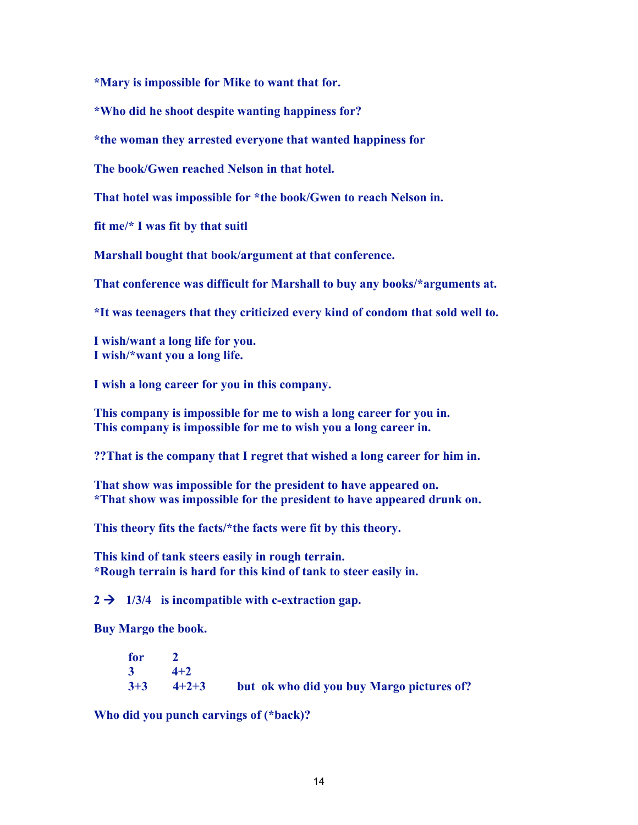**\*Mary is impossible for Mike to want that for.**

**\*Who did he shoot despite wanting happiness for?**

**\*the woman they arrested everyone that wanted happiness for**

**The book/Gwen reached Nelson in that hotel.**

**That hotel was impossible for \*the book/Gwen to reach Nelson in.** 

**fit me/\* I was fit by that suitl**

**Marshall bought that book/argument at that conference.**

**That conference was difficult for Marshall to buy any books/\*arguments at.**

**\*It was teenagers that they criticized every kind of condom that sold well to.**

**I wish/want a long life for you. I wish/\*want you a long life.**

**I wish a long career for you in this company.**

**This company is impossible for me to wish a long career for you in. This company is impossible for me to wish you a long career in.**

**??That is the company that I regret that wished a long career for him in.**

**That show was impossible for the president to have appeared on. \*That show was impossible for the president to have appeared drunk on.**

**This theory fits the facts/\*the facts were fit by this theory.**

**This kind of tank steers easily in rough terrain. \*Rough terrain is hard for this kind of tank to steer easily in.**

 $2 \rightarrow 1/3/4$  is incompatible with c-extraction gap.

**Buy Margo the book.**

| for 2 |               |                                           |
|-------|---------------|-------------------------------------------|
|       | $3 \t 4+2$    |                                           |
|       | $3+3$ $4+2+3$ | but ok who did you buy Margo pictures of? |

**Who did you punch carvings of (\*back)?**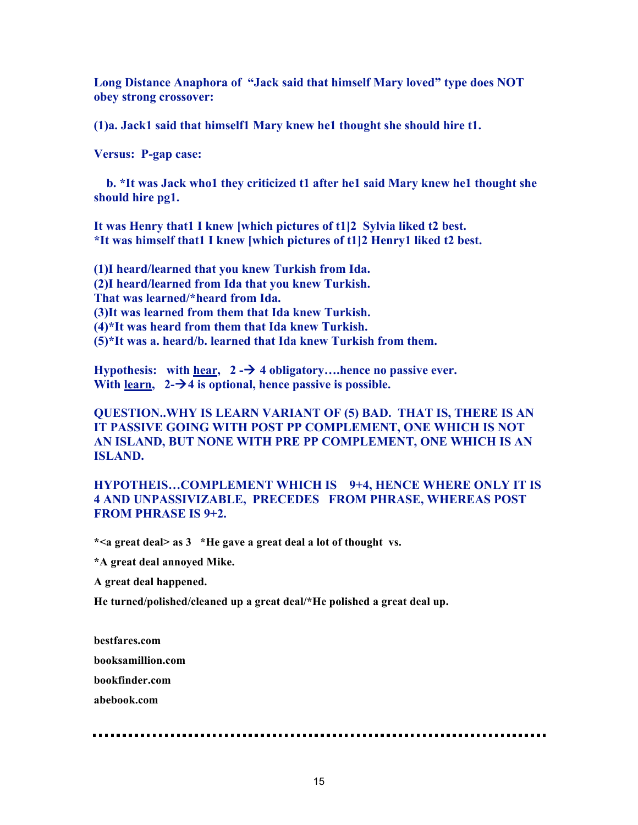**Long Distance Anaphora of "Jack said that himself Mary loved" type does NOT obey strong crossover:**

**(1)a. Jack1 said that himself1 Mary knew he1 thought she should hire t1.**

**Versus: P-gap case:**

 **b. \*It was Jack who1 they criticized t1 after he1 said Mary knew he1 thought she should hire pg1.**

**It was Henry that1 I knew [which pictures of t1]2 Sylvia liked t2 best. \*It was himself that1 I knew [which pictures of t1]2 Henry1 liked t2 best.**

**(1)I heard/learned that you knew Turkish from Ida. (2)I heard/learned from Ida that you knew Turkish. That was learned/\*heard from Ida. (3)It was learned from them that Ida knew Turkish. (4)\*It was heard from them that Ida knew Turkish. (5)\*It was a. heard/b. learned that Ida knew Turkish from them.**

**Hypothesis:** with hear,  $2 - \frac{1}{2}$  4 obligatory....hence no passive ever. **With learn, 2-4 is optional, hence passive is possible.**

## **QUESTION..WHY IS LEARN VARIANT OF (5) BAD. THAT IS, THERE IS AN IT PASSIVE GOING WITH POST PP COMPLEMENT, ONE WHICH IS NOT AN ISLAND, BUT NONE WITH PRE PP COMPLEMENT, ONE WHICH IS AN ISLAND.**

## **HYPOTHEIS…COMPLEMENT WHICH IS 9+4, HENCE WHERE ONLY IT IS 4 AND UNPASSIVIZABLE, PRECEDES FROM PHRASE, WHEREAS POST FROM PHRASE IS 9+2.**

**\*<a great deal> as 3 \*He gave a great deal a lot of thought vs.**

**\*A great deal annoyed Mike.**

**A great deal happened.**

**He turned/polished/cleaned up a great deal/\*He polished a great deal up.**

**bestfares.com**

**booksamillion.com**

**bookfinder.com**

**abebook.com**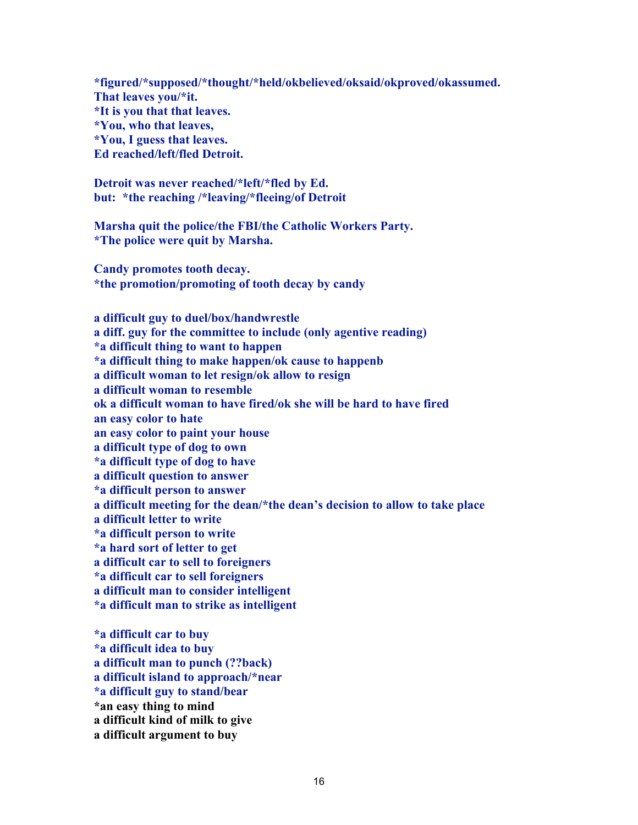**\*figured/\*supposed/\*thought/\*held/okbelieved/oksaid/okproved/okassumed. That leaves you/\*it. \*It is you that that leaves. \*You, who that leaves, \*You, I guess that leaves. Ed reached/left/fled Detroit.**

**Detroit was never reached/\*left/\*fled by Ed. but: \*the reaching /\*leaving/\*fleeing/of Detroit**

**Marsha quit the police/the FBI/the Catholic Workers Party. \*The police were quit by Marsha.**

**Candy promotes tooth decay. \*the promotion/promoting of tooth decay by candy**

**a difficult guy to duel/box/handwrestle a diff. guy for the committee to include (only agentive reading) \*a difficult thing to want to happen \*a difficult thing to make happen/ok cause to happenb a difficult woman to let resign/ok allow to resign a difficult woman to resemble ok a difficult woman to have fired/ok she will be hard to have fired an easy color to hate an easy color to paint your house a difficult type of dog to own \*a difficult type of dog to have a difficult question to answer \*a difficult person to answer a difficult meeting for the dean/\*the dean's decision to allow to take place a difficult letter to write \*a difficult person to write \*a hard sort of letter to get a difficult car to sell to foreigners \*a difficult car to sell foreigners a difficult man to consider intelligent \*a difficult man to strike as intelligent**

**\*a difficult car to buy \*a difficult idea to buy a difficult man to punch (??back) a difficult island to approach/\*near \*a difficult guy to stand/bear \*an easy thing to mind a difficult kind of milk to give a difficult argument to buy**